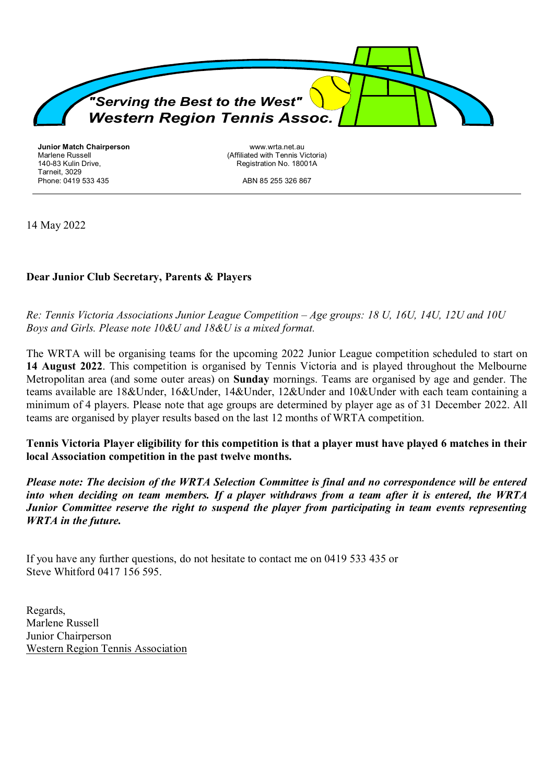

**Junior Match Chairperson** Marlene Russell 140-83 Kulin Drive, Tarneit, 3029 Phone: 0419 533 435

www.wrta.net.au (Affiliated with Tennis Victoria) Registration No. 18001A

ABN 85 255 326 867

14 May 2022

## **Dear Junior Club Secretary, Parents & Players**

*Re: Tennis Victoria Associations Junior League Competition – Age groups: 18 U, 16U, 14U, 12U and 10U Boys and Girls. Please note 10&U and 18&U is a mixed format.* 

The WRTA will be organising teams for the upcoming 2022 Junior League competition scheduled to start on **14 August 2022**. This competition is organised by Tennis Victoria and is played throughout the Melbourne Metropolitan area (and some outer areas) on **Sunday** mornings. Teams are organised by age and gender. The teams available are 18&Under, 16&Under, 14&Under, 12&Under and 10&Under with each team containing a minimum of 4 players. Please note that age groups are determined by player age as of 31 December 2022. All teams are organised by player results based on the last 12 months of WRTA competition.

**Tennis Victoria Player eligibility for this competition is that a player must have played 6 matches in their local Association competition in the past twelve months.** 

*Please note: The decision of the WRTA Selection Committee is final and no correspondence will be entered into when deciding on team members. If a player withdraws from a team after it is entered, the WRTA Junior Committee reserve the right to suspend the player from participating in team events representing WRTA in the future.*

If you have any further questions, do not hesitate to contact me on 0419 533 435 or Steve Whitford 0417 156 595.

Regards, Marlene Russell Junior Chairperson Western Region Tennis Association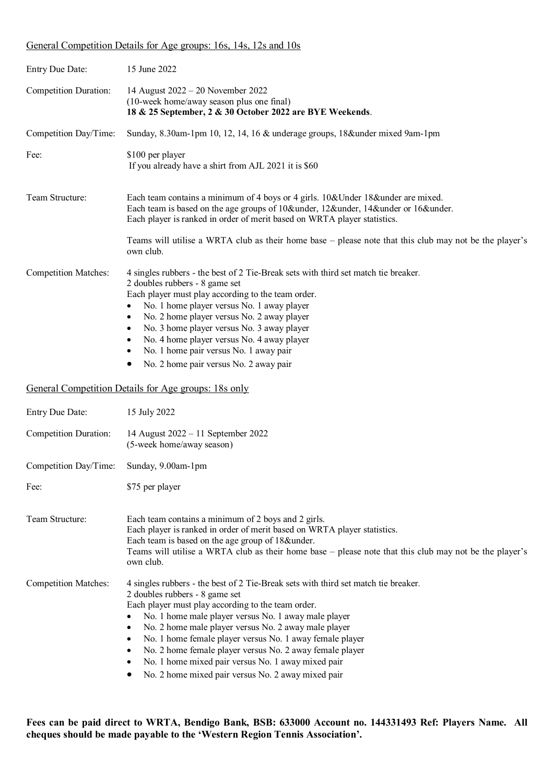### General Competition Details for Age groups: 16s, 14s, 12s and 10s

| Entry Due Date:             | 15 June 2022                                                                                                                                                                                                                                                                                                                                                                                                                                                                                       |  |
|-----------------------------|----------------------------------------------------------------------------------------------------------------------------------------------------------------------------------------------------------------------------------------------------------------------------------------------------------------------------------------------------------------------------------------------------------------------------------------------------------------------------------------------------|--|
| Competition Duration:       | 14 August 2022 – 20 November 2022<br>(10-week home/away season plus one final)<br>18 & 25 September, 2 & 30 October 2022 are BYE Weekends.                                                                                                                                                                                                                                                                                                                                                         |  |
| Competition Day/Time:       | Sunday, 8.30am-1pm 10, 12, 14, 16 & underage groups, 18&under mixed 9am-1pm                                                                                                                                                                                                                                                                                                                                                                                                                        |  |
| Fee:                        | \$100 per player<br>If you already have a shirt from AJL 2021 it is \$60                                                                                                                                                                                                                                                                                                                                                                                                                           |  |
| Team Structure:             | Each team contains a minimum of 4 boys or 4 girls. 10& Under 18& under are mixed.<br>Each team is based on the age groups of 10&under, 12&under, 14&under or 16&under.<br>Each player is ranked in order of merit based on WRTA player statistics.                                                                                                                                                                                                                                                 |  |
|                             | Teams will utilise a WRTA club as their home base – please note that this club may not be the player's<br>own club.                                                                                                                                                                                                                                                                                                                                                                                |  |
| <b>Competition Matches:</b> | 4 singles rubbers - the best of 2 Tie-Break sets with third set match tie breaker.<br>2 doubles rubbers - 8 game set<br>Each player must play according to the team order.<br>No. 1 home player versus No. 1 away player<br>No. 2 home player versus No. 2 away player<br>٠<br>No. 3 home player versus No. 3 away player<br>$\bullet$<br>No. 4 home player versus No. 4 away player<br>$\bullet$<br>No. 1 home pair versus No. 1 away pair<br>$\bullet$<br>No. 2 home pair versus No. 2 away pair |  |

#### General Competition Details for Age groups: 18s only

| <b>Entry Due Date:</b>       | 15 July 2022                                                                                                                                                                                                                                                                                                                                                                                                                                                                                                                                       |
|------------------------------|----------------------------------------------------------------------------------------------------------------------------------------------------------------------------------------------------------------------------------------------------------------------------------------------------------------------------------------------------------------------------------------------------------------------------------------------------------------------------------------------------------------------------------------------------|
| <b>Competition Duration:</b> | 14 August 2022 - 11 September 2022<br>(5-week home/away season)                                                                                                                                                                                                                                                                                                                                                                                                                                                                                    |
| Competition Day/Time:        | Sunday, 9.00am-1pm                                                                                                                                                                                                                                                                                                                                                                                                                                                                                                                                 |
| Fee:                         | \$75 per player                                                                                                                                                                                                                                                                                                                                                                                                                                                                                                                                    |
| Team Structure:              | Each team contains a minimum of 2 boys and 2 girls.<br>Each player is ranked in order of merit based on WRTA player statistics.<br>Each team is based on the age group of 18&under.<br>Teams will utilise a WRTA club as their home base – please note that this club may not be the player's<br>own club.                                                                                                                                                                                                                                         |
| <b>Competition Matches:</b>  | 4 singles rubbers - the best of 2 Tie-Break sets with third set match tie breaker.<br>2 doubles rubbers - 8 game set<br>Each player must play according to the team order.<br>No. 1 home male player versus No. 1 away male player<br>No. 2 home male player versus No. 2 away male player<br>٠<br>No. 1 home female player versus No. 1 away female player<br>٠<br>No. 2 home female player versus No. 2 away female player<br>٠<br>No. 1 home mixed pair versus No. 1 away mixed pair<br>٠<br>No. 2 home mixed pair versus No. 2 away mixed pair |

**Fees can be paid direct to WRTA, Bendigo Bank, BSB: 633000 Account no. 144331493 Ref: Players Name. All cheques should be made payable to the 'Western Region Tennis Association'***.*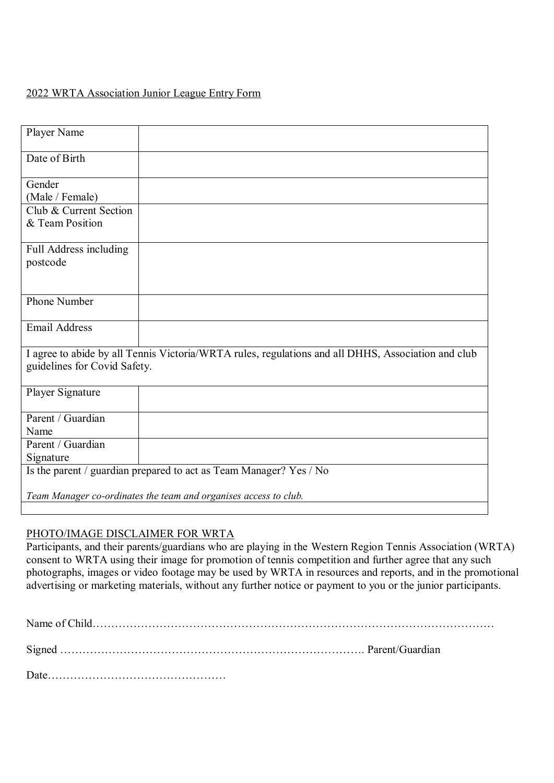# 2022 WRTA Association Junior League Entry Form

| Player Name                                                                                                                        |  |  |  |  |
|------------------------------------------------------------------------------------------------------------------------------------|--|--|--|--|
| Date of Birth                                                                                                                      |  |  |  |  |
| Gender                                                                                                                             |  |  |  |  |
| (Male / Female)                                                                                                                    |  |  |  |  |
| Club & Current Section                                                                                                             |  |  |  |  |
| & Team Position                                                                                                                    |  |  |  |  |
| Full Address including                                                                                                             |  |  |  |  |
| postcode                                                                                                                           |  |  |  |  |
|                                                                                                                                    |  |  |  |  |
| <b>Phone Number</b>                                                                                                                |  |  |  |  |
| <b>Email Address</b>                                                                                                               |  |  |  |  |
| I agree to abide by all Tennis Victoria/WRTA rules, regulations and all DHHS, Association and club<br>guidelines for Covid Safety. |  |  |  |  |
| Player Signature                                                                                                                   |  |  |  |  |
| Parent / Guardian                                                                                                                  |  |  |  |  |
| Name                                                                                                                               |  |  |  |  |
| Parent / Guardian                                                                                                                  |  |  |  |  |
| Signature                                                                                                                          |  |  |  |  |
| Is the parent / guardian prepared to act as Team Manager? Yes / No                                                                 |  |  |  |  |
| Team Manager co-ordinates the team and organises access to club.                                                                   |  |  |  |  |
|                                                                                                                                    |  |  |  |  |

## PHOTO/IMAGE DISCLAIMER FOR WRTA

Participants, and their parents/guardians who are playing in the Western Region Tennis Association (WRTA) consent to WRTA using their image for promotion of tennis competition and further agree that any such photographs, images or video footage may be used by WRTA in resources and reports, and in the promotional advertising or marketing materials, without any further notice or payment to you or the junior participants.